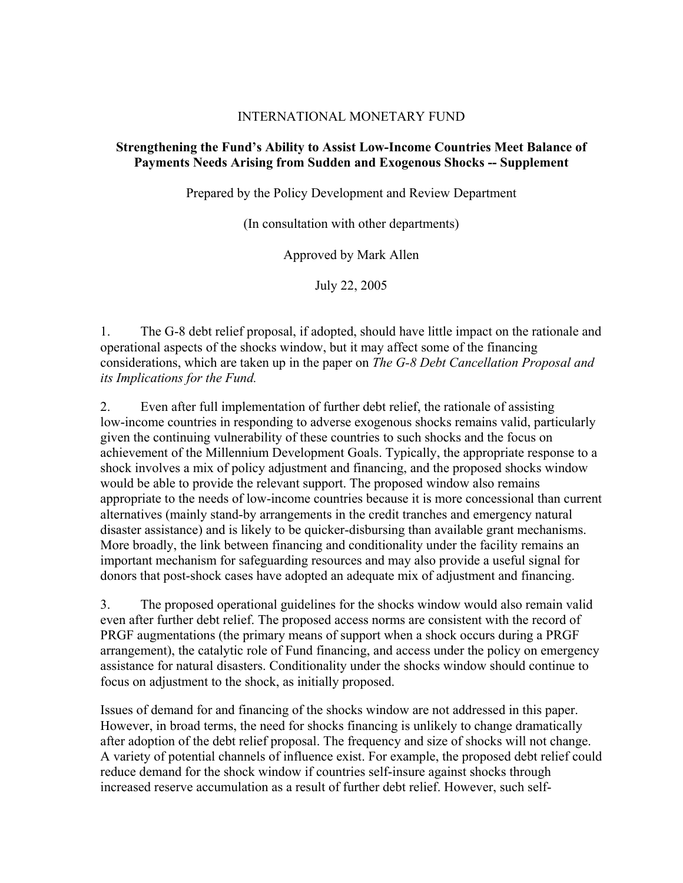## INTERNATIONAL MONETARY FUND

## **Strengthening the Fund's Ability to Assist Low-Income Countries Meet Balance of Payments Needs Arising from Sudden and Exogenous Shocks -- Supplement**

Prepared by the Policy Development and Review Department

(In consultation with other departments)

Approved by Mark Allen

July 22, 2005

1. The G-8 debt relief proposal, if adopted, should have little impact on the rationale and operational aspects of the shocks window, but it may affect some of the financing considerations, which are taken up in the paper on *The G-8 Debt Cancellation Proposal and its Implications for the Fund.* 

2. Even after full implementation of further debt relief, the rationale of assisting low-income countries in responding to adverse exogenous shocks remains valid, particularly given the continuing vulnerability of these countries to such shocks and the focus on achievement of the Millennium Development Goals. Typically, the appropriate response to a shock involves a mix of policy adjustment and financing, and the proposed shocks window would be able to provide the relevant support. The proposed window also remains appropriate to the needs of low-income countries because it is more concessional than current alternatives (mainly stand-by arrangements in the credit tranches and emergency natural disaster assistance) and is likely to be quicker-disbursing than available grant mechanisms. More broadly, the link between financing and conditionality under the facility remains an important mechanism for safeguarding resources and may also provide a useful signal for donors that post-shock cases have adopted an adequate mix of adjustment and financing.

3. The proposed operational guidelines for the shocks window would also remain valid even after further debt relief. The proposed access norms are consistent with the record of PRGF augmentations (the primary means of support when a shock occurs during a PRGF arrangement), the catalytic role of Fund financing, and access under the policy on emergency assistance for natural disasters. Conditionality under the shocks window should continue to focus on adjustment to the shock, as initially proposed.

Issues of demand for and financing of the shocks window are not addressed in this paper. However, in broad terms, the need for shocks financing is unlikely to change dramatically after adoption of the debt relief proposal. The frequency and size of shocks will not change. A variety of potential channels of influence exist. For example, the proposed debt relief could reduce demand for the shock window if countries self-insure against shocks through increased reserve accumulation as a result of further debt relief. However, such self